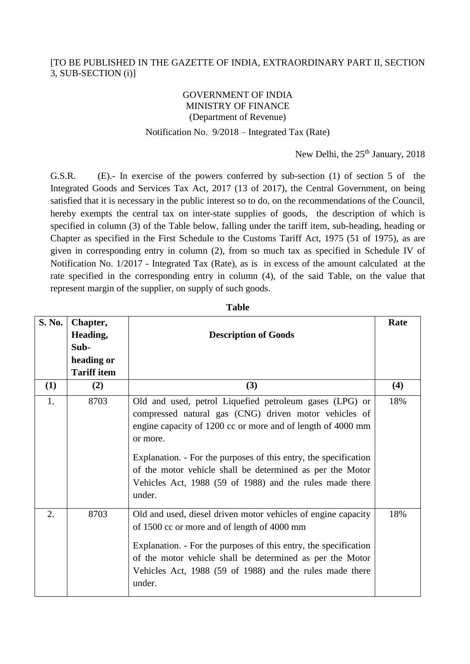## [TO BE PUBLISHED IN THE GAZETTE OF INDIA, EXTRAORDINARY PART II, SECTION 3, SUB-SECTION (i)]

## GOVERNMENT OF INDIA MINISTRY OF FINANCE (Department of Revenue)

## Notification No. 9/2018 – Integrated Tax (Rate)

New Delhi, the 25<sup>th</sup> January, 2018

G.S.R. (E).- In exercise of the powers conferred by sub-section (1) of section 5 of the Integrated Goods and Services Tax Act, 2017 (13 of 2017), the Central Government, on being satisfied that it is necessary in the public interest so to do, on the recommendations of the Council, hereby exempts the central tax on inter-state supplies of goods, the description of which is specified in column (3) of the Table below, falling under the tariff item, sub-heading, heading or Chapter as specified in the First Schedule to the Customs Tariff Act, 1975 (51 of 1975), as are given in corresponding entry in column (2), from so much tax as specified in Schedule IV of Notification No. 1/2017 - Integrated Tax (Rate), as is in excess of the amount calculated at the rate specified in the corresponding entry in column (4), of the said Table, on the value that represent margin of the supplier, on supply of such goods.

| S. No. | Chapter,<br>Heading,<br>Sub-<br>heading or<br><b>Tariff item</b> | <b>Description of Goods</b>                                                                                                                                                                                                                                                                                                                                                                        | Rate |
|--------|------------------------------------------------------------------|----------------------------------------------------------------------------------------------------------------------------------------------------------------------------------------------------------------------------------------------------------------------------------------------------------------------------------------------------------------------------------------------------|------|
| (1)    | (2)                                                              | (3)                                                                                                                                                                                                                                                                                                                                                                                                | (4)  |
| 1.     | 8703                                                             | Old and used, petrol Liquefied petroleum gases (LPG) or<br>compressed natural gas (CNG) driven motor vehicles of<br>engine capacity of 1200 cc or more and of length of 4000 mm<br>or more.<br>Explanation. - For the purposes of this entry, the specification<br>of the motor vehicle shall be determined as per the Motor<br>Vehicles Act, 1988 (59 of 1988) and the rules made there<br>under. | 18%  |
| 2.     | 8703                                                             | Old and used, diesel driven motor vehicles of engine capacity<br>of 1500 cc or more and of length of 4000 mm<br>Explanation. - For the purposes of this entry, the specification<br>of the motor vehicle shall be determined as per the Motor<br>Vehicles Act, 1988 (59 of 1988) and the rules made there<br>under.                                                                                | 18%  |

**Table**